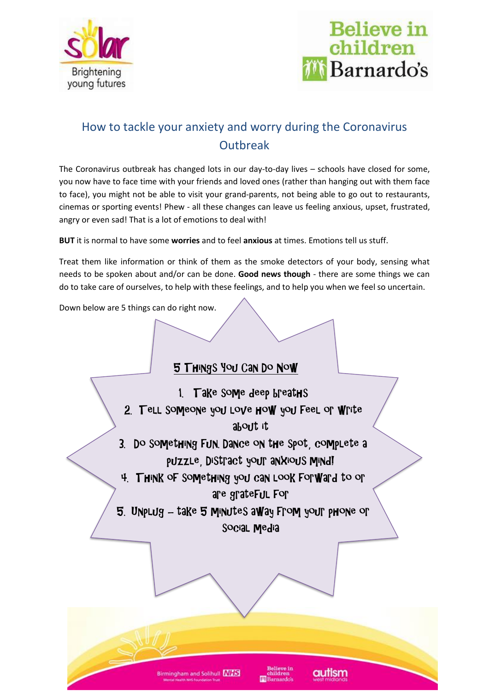



### How to tackle your anxiety and worry during the Coronavirus **Outbreak**

The Coronavirus outbreak has changed lots in our day-to-day lives – schools have closed for some, you now have to face time with your friends and loved ones (rather than hanging out with them face to face), you might not be able to visit your grand-parents, not being able to go out to restaurants, cinemas or sporting events! Phew - all these changes can leave us feeling anxious, upset, frustrated, angry or even sad! That is a lot of emotions to deal with!

**BUT** it is normal to have some **worries** and to feel **anxious** at times. Emotions tell us stuff.

Treat them like information or think of them as the smoke detectors of your body, sensing what needs to be spoken about and/or can be done. **Good news though** - there are some things we can do to take care of ourselves, to help with these feelings, and to help you when we feel so uncertain.

Down below are 5 things can do right now.

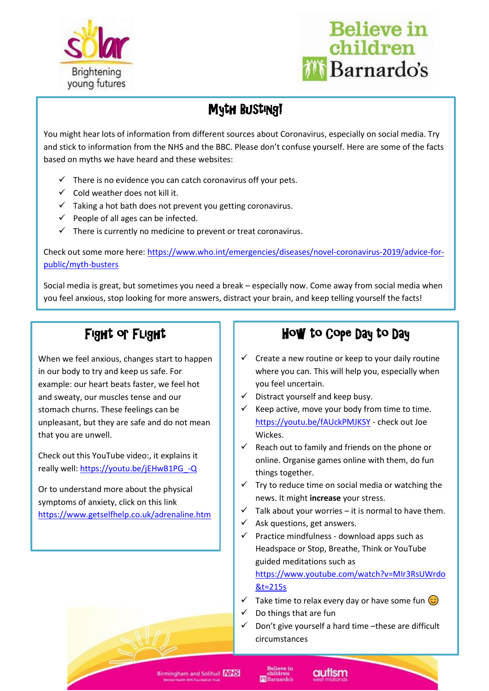



## Myth Busting!

You might hear lots of information from different sources about Coronavirus, especially on social media. Try and stick to information from the NHS and the BBC. Please don't confuse yourself. Here are some of the facts based on myths we have heard and these websites:

- $\checkmark$  There is no evidence you can catch coronavirus off your pets.
- $\checkmark$  Cold weather does not kill it.
- $\checkmark$  Taking a hot bath does not prevent you getting coronavirus.
- $\checkmark$  People of all ages can be infected.
- $\checkmark$  There is currently no medicine to prevent or treat coronavirus.

Check out some more here: [https://www.who.int/emergencies/diseases/novel-coronavirus-2019/advice-for](https://www.who.int/emergencies/diseases/novel-coronavirus-2019/advice-for-public/myth-busters)[public/myth-busters](https://www.who.int/emergencies/diseases/novel-coronavirus-2019/advice-for-public/myth-busters)

Social media is great, but sometimes you need a break – especially now. Come away from social media when you feel anxious, stop looking for more answers, distract your brain, and keep telling yourself the facts!

# Fight or Flight

example: our heart beats faster, we feel hot **information information information** you feel uncertain. When we feel anxious, changes start to happen in our body to try and keep us safe. For and sweaty, our muscles tense and our stomach churns. These feelings can be unpleasant, but they are safe and do not mean that you are unwell.

Check out this YouTube video:, it explains it really well[: https://youtu.be/jEHwB1PG\\_-Q](https://youtu.be/jEHwB1PG_-Q)

Or to understand more about the physical symptoms of anxiety, click on this link <https://www.getselfhelp.co.uk/adrenaline.htm>

# How to Cope Day to Day

- $\checkmark$  Create a new routine or keep to your daily routine where you can. This will help you, especially when you feel uncertain.
- $\checkmark$  Distract yourself and keep busy.
- $\checkmark$  Keep active, move your body from time to time. <https://youtu.be/fAUckPMJKSY> - check out Joe Wickes.
- $\checkmark$  Reach out to family and friends on the phone or online. Organise games online with them, do fun things together.
- $\checkmark$  Try to reduce time on social media or watching the news. It might **increase** your stress.
- $\checkmark$  Talk about your worries it is normal to have them.
- $\checkmark$  Ask questions, get answers.
- $\checkmark$  Practice mindfulness download apps such as Headspace or Stop, Breathe, Think or YouTube guided meditations such as

[https://www.youtube.com/watch?v=MIr3RsUWrdo](https://www.youtube.com/watch?v=MIr3RsUWrdo&t=215s) [&t=215s](https://www.youtube.com/watch?v=MIr3RsUWrdo&t=215s)

- $\checkmark$  Take time to relax every day or have some fun  $\circledcirc$
- Do things that are fun
- ✓ Don't give yourself a hard time –these are difficult circumstances

**Birmingham and Solihull NHS** 

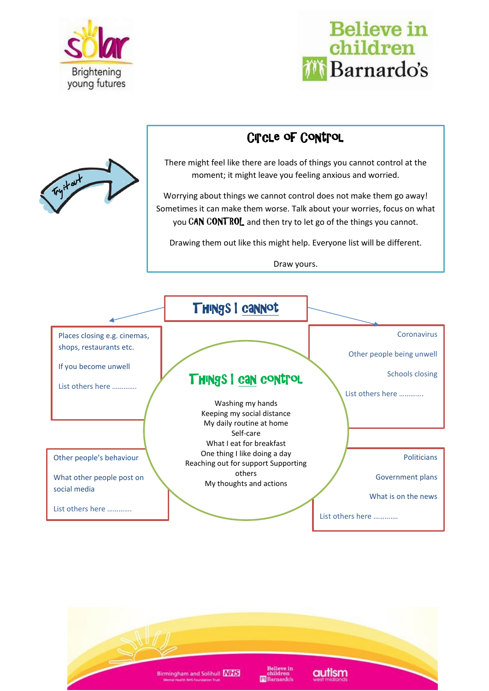



## Circle of Control

There might feel like there are loads of things you cannot control at the moment; it might leave you feeling anxious and worried.

Worrying about things we cannot control does not make them go away! Sometimes it can make them worse. Talk about your worries, focus on what you CAN CONTROL and then try to let go of the things you cannot.

Drawing them out like this might help. Everyone list will be different.

Draw yours.